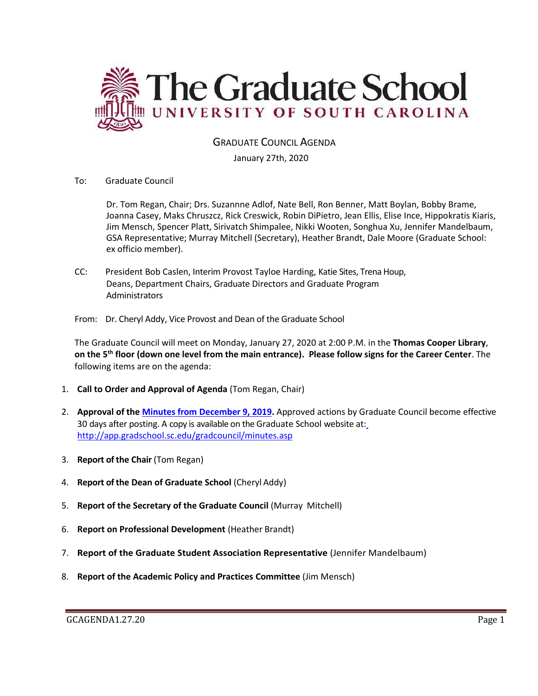

### GRADUATE COUNCIL AGENDA

January 27th, 2020

To: Graduate Council

Dr. Tom Regan, Chair; Drs. Suzannne Adlof, Nate Bell, Ron Benner, Matt Boylan, Bobby Brame, Joanna Casey, Maks Chruszcz, Rick Creswick, Robin DiPietro, Jean Ellis, Elise Ince, Hippokratis Kiaris, Jim Mensch, Spencer Platt, Sirivatch Shimpalee, Nikki Wooten, Songhua Xu, Jennifer Mandelbaum, GSA Representative; Murray Mitchell (Secretary), Heather Brandt, Dale Moore (Graduate School: ex officio member).

CC: President Bob Caslen, Interim Provost Tayloe Harding, Katie Sites, Trena Houp, Deans, Department Chairs, Graduate Directors and Graduate Program **Administrators** 

From: Dr. Cheryl Addy, Vice Provost and Dean of the Graduate School

The Graduate Council will meet on Monday, January 27, 2020 at 2:00 P.M. in the **Thomas Cooper Library**, **on the 5th floor (down one level from the main entrance). Please follow signs for the Career Center**. The following items are on the agenda:

- 1. **Call to Order and Approval of Agenda** (Tom Regan, Chair)
- 2. **Approval of the [Minutes from December 9, 2019.](file:///C:/Users/wandab/GCMINDEC92019MM.pdf)** Approved actions by [Graduate Council become effective](http://app.gradschool.sc.edu/gradcouncil/minutes.asp)  30 days after posting. A copy is available on the Graduate School website at: <http://app.gradschool.sc.edu/gradcouncil/minutes.asp>
- 3. **Report of the Chair** (Tom Regan)
- 4. **Report of the Dean of Graduate School** (Cheryl Addy)
- 5. **Report of the Secretary of the Graduate Council** (Murray Mitchell)
- 6. **Report on Professional Development** (Heather Brandt)
- 7. **Report of the Graduate Student Association Representative** (Jennifer Mandelbaum)
- 8. **Report of the Academic Policy and Practices Committee** (Jim Mensch)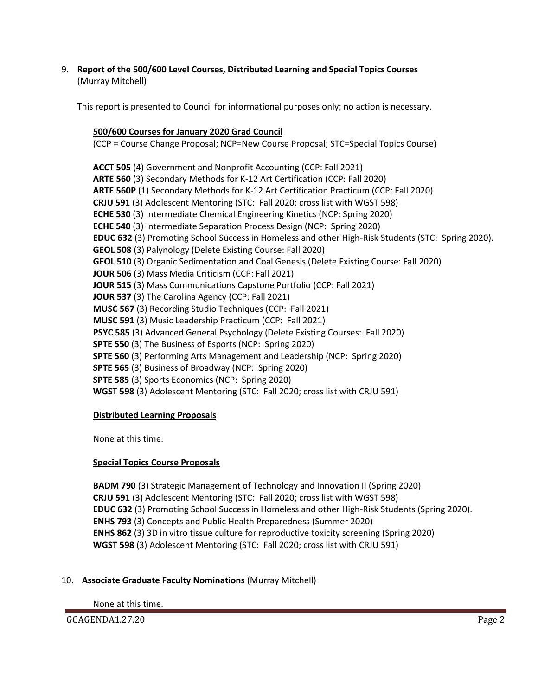9. **Report of the 500/600 Level Courses, Distributed Learning and Special Topics Courses** (Murray Mitchell)

This report is presented to Council for informational purposes only; no action is necessary.

### **500/600 Courses for January 2020 Grad Council**

(CCP = Course Change Proposal; NCP=New Course Proposal; STC=Special Topics Course)

**ACCT 505** (4) Government and Nonprofit Accounting (CCP: Fall 2021) **ARTE 560** (3) Secondary Methods for K-12 Art Certification (CCP: Fall 2020) **ARTE 560P** (1) Secondary Methods for K-12 Art Certification Practicum (CCP: Fall 2020) **CRJU 591** (3) Adolescent Mentoring (STC: Fall 2020; cross list with WGST 598) **ECHE 530** (3) Intermediate Chemical Engineering Kinetics (NCP: Spring 2020) **ECHE 540** (3) Intermediate Separation Process Design (NCP: Spring 2020) **EDUC 632** (3) Promoting School Success in Homeless and other High-Risk Students (STC: Spring 2020). **GEOL 508** (3) Palynology (Delete Existing Course: Fall 2020) **GEOL 510** (3) Organic Sedimentation and Coal Genesis (Delete Existing Course: Fall 2020) **JOUR 506** (3) Mass Media Criticism (CCP: Fall 2021) **JOUR 515** (3) Mass Communications Capstone Portfolio (CCP: Fall 2021) **JOUR 537** (3) The Carolina Agency (CCP: Fall 2021) **MUSC 567** (3) Recording Studio Techniques (CCP: Fall 2021) **MUSC 591** (3) Music Leadership Practicum (CCP: Fall 2021) **PSYC 585** (3) Advanced General Psychology (Delete Existing Courses: Fall 2020) **SPTE 550** (3) The Business of Esports (NCP: Spring 2020) **SPTE 560** (3) Performing Arts Management and Leadership (NCP: Spring 2020) **SPTE 565** (3) Business of Broadway (NCP: Spring 2020) **SPTE 585** (3) Sports Economics (NCP: Spring 2020) **WGST 598** (3) Adolescent Mentoring (STC: Fall 2020; cross list with CRJU 591)

#### **Distributed Learning Proposals**

None at this time.

# **Special Topics Course Proposals**

**BADM 790** (3) Strategic Management of Technology and Innovation II (Spring 2020) **CRJU 591** (3) Adolescent Mentoring (STC: Fall 2020; cross list with WGST 598) **EDUC 632** (3) Promoting School Success in Homeless and other High-Risk Students (Spring 2020). **ENHS 793** (3) Concepts and Public Health Preparedness (Summer 2020) **ENHS 862** (3) 3D in vitro tissue culture for reproductive toxicity screening (Spring 2020) **WGST 598** (3) Adolescent Mentoring (STC: Fall 2020; cross list with CRJU 591)

# 10. **Associate Graduate Faculty Nominations** (Murray Mitchell)

None at this time.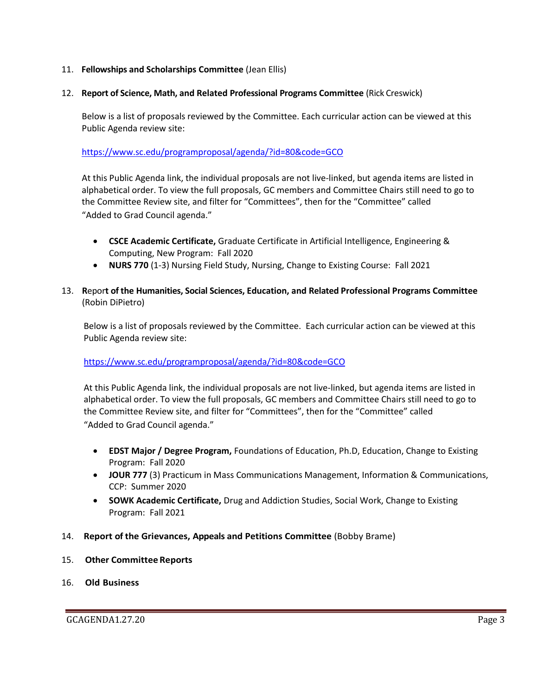#### 11. **Fellowships and Scholarships Committee** (Jean Ellis)

#### 12. **Report of Science, Math, and Related Professional Programs Committee** (Rick Creswick)

Below is a list of proposals reviewed by the Committee. Each curricular action can be viewed at this Public Agenda review site:

<https://www.sc.edu/programproposal/agenda/?id=80&code=GCO>

At this Public Agenda link, the individual proposals are not live-linked, but agenda items are listed in alphabetical order. To view the full proposals, GC members and Committee Chairs still need to go to the Committee Review site, and filter for "Committees", then for the "Committee" called "Added to Grad Council agenda."

- **CSCE Academic Certificate,** Graduate Certificate in Artificial Intelligence, Engineering & Computing, New Program: Fall 2020
- **NURS 770** (1-3) Nursing Field Study, Nursing, Change to Existing Course: Fall 2021
- 13. **R**epor**t of the Humanities, Social Sciences, Education, and Related Professional Programs Committee**  (Robin DiPietro)

Below is a list of proposals reviewed by the Committee. Each curricular action can be viewed at this Public Agenda review site:

<https://www.sc.edu/programproposal/agenda/?id=80&code=GCO>

At this Public Agenda link, the individual proposals are not live-linked, but agenda items are listed in alphabetical order. To view the full proposals, GC members and Committee Chairs still need to go to the Committee Review site, and filter for "Committees", then for the "Committee" called "Added to Grad Council agenda."

- **EDST Major / Degree Program,** Foundations of Education, Ph.D, Education, Change to Existing Program: Fall 2020
- **JOUR 777** (3) Practicum in Mass Communications Management, Information & Communications, CCP: Summer 2020
- **SOWK Academic Certificate,** Drug and Addiction Studies, Social Work, Change to Existing Program: Fall 2021
- 14. **Report of the Grievances, Appeals and Petitions Committee** (Bobby Brame)
- 15. **Other Committee Reports**
- 16. **Old Business**